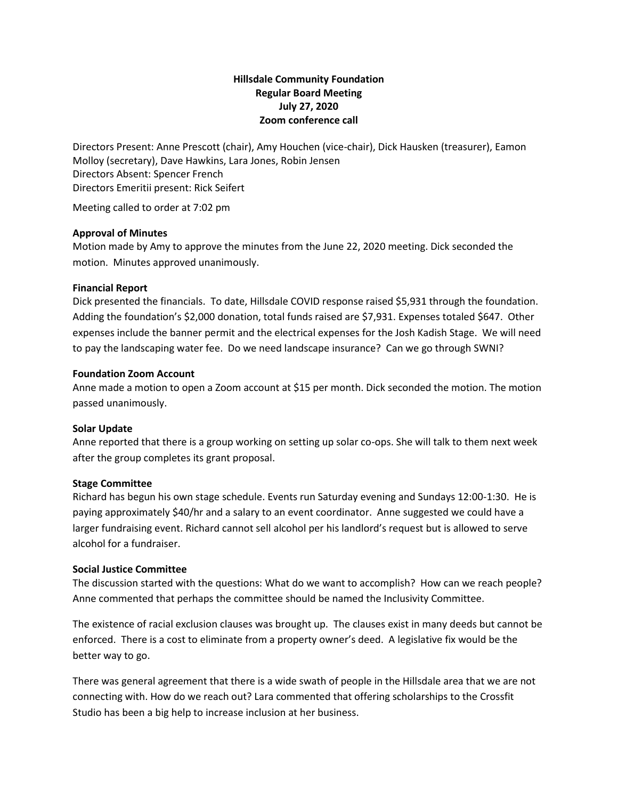# **Hillsdale Community Foundation Regular Board Meeting July 27, 2020 Zoom conference call**

Directors Present: Anne Prescott (chair), Amy Houchen (vice-chair), Dick Hausken (treasurer), Eamon Molloy (secretary), Dave Hawkins, Lara Jones, Robin Jensen Directors Absent: Spencer French Directors Emeritii present: Rick Seifert

Meeting called to order at 7:02 pm

### **Approval of Minutes**

Motion made by Amy to approve the minutes from the June 22, 2020 meeting. Dick seconded the motion. Minutes approved unanimously.

### **Financial Report**

Dick presented the financials. To date, Hillsdale COVID response raised \$5,931 through the foundation. Adding the foundation's \$2,000 donation, total funds raised are \$7,931. Expenses totaled \$647. Other expenses include the banner permit and the electrical expenses for the Josh Kadish Stage. We will need to pay the landscaping water fee. Do we need landscape insurance? Can we go through SWNI?

# **Foundation Zoom Account**

Anne made a motion to open a Zoom account at \$15 per month. Dick seconded the motion. The motion passed unanimously.

#### **Solar Update**

Anne reported that there is a group working on setting up solar co-ops. She will talk to them next week after the group completes its grant proposal.

#### **Stage Committee**

Richard has begun his own stage schedule. Events run Saturday evening and Sundays 12:00-1:30. He is paying approximately \$40/hr and a salary to an event coordinator. Anne suggested we could have a larger fundraising event. Richard cannot sell alcohol per his landlord's request but is allowed to serve alcohol for a fundraiser.

### **Social Justice Committee**

The discussion started with the questions: What do we want to accomplish? How can we reach people? Anne commented that perhaps the committee should be named the Inclusivity Committee.

The existence of racial exclusion clauses was brought up. The clauses exist in many deeds but cannot be enforced. There is a cost to eliminate from a property owner's deed. A legislative fix would be the better way to go.

There was general agreement that there is a wide swath of people in the Hillsdale area that we are not connecting with. How do we reach out? Lara commented that offering scholarships to the Crossfit Studio has been a big help to increase inclusion at her business.